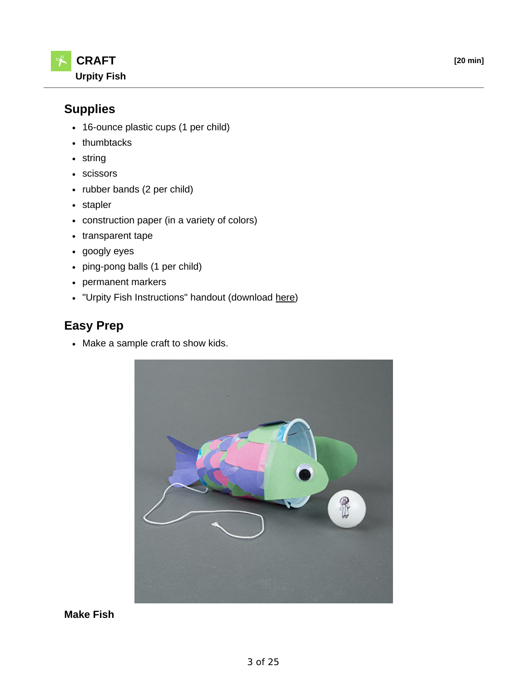

# **Supplies**

- 16-ounce plastic cups (1 per child)
- thumbtacks
- string
- scissors
- rubber bands (2 per child)
- stapler
- construction paper (in a variety of colors)
- transparent tape
- googly eyes
- ping-pong balls (1 per child)
- permanent markers
- . "Urpity Fish Instructions" handout (download here)

# **Easy Prep**

• Make a sample craft to show kids.



**Make Fish**